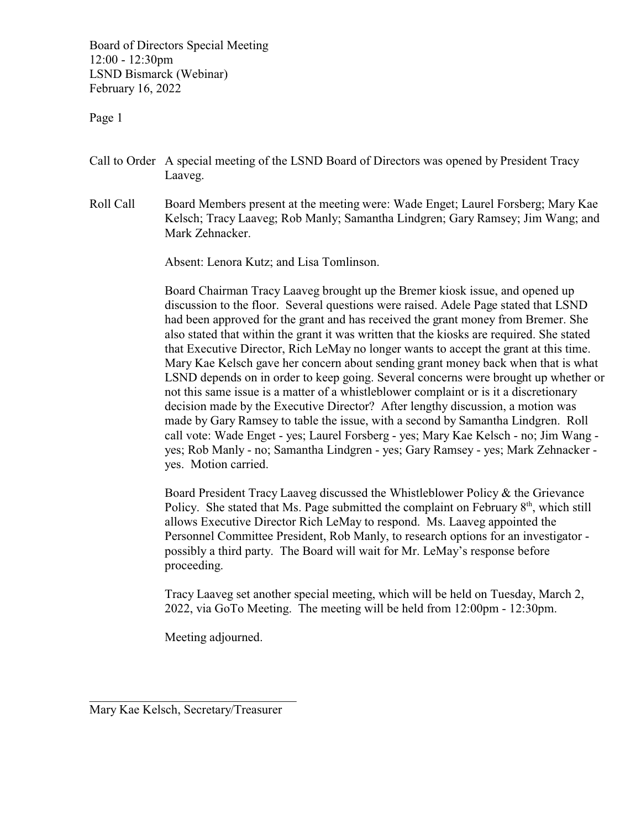Board of Directors Special Meeting 12:00 - 12:30pm LSND Bismarck (Webinar) February 16, 2022

Page 1

- Call to Order A special meeting of the LSND Board of Directors was opened by President Tracy Laaveg.
- Roll Call Board Members present at the meeting were: Wade Enget; Laurel Forsberg; Mary Kae Kelsch; Tracy Laaveg; Rob Manly; Samantha Lindgren; Gary Ramsey; Jim Wang; and Mark Zehnacker.

Absent: Lenora Kutz; and Lisa Tomlinson.

Board Chairman Tracy Laaveg brought up the Bremer kiosk issue, and opened up discussion to the floor. Several questions were raised. Adele Page stated that LSND had been approved for the grant and has received the grant money from Bremer. She also stated that within the grant it was written that the kiosks are required. She stated that Executive Director, Rich LeMay no longer wants to accept the grant at this time. Mary Kae Kelsch gave her concern about sending grant money back when that is what LSND depends on in order to keep going. Several concerns were brought up whether or not this same issue is a matter of a whistleblower complaint or is it a discretionary decision made by the Executive Director? After lengthy discussion, a motion was made by Gary Ramsey to table the issue, with a second by Samantha Lindgren. Roll call vote: Wade Enget - yes; Laurel Forsberg - yes; Mary Kae Kelsch - no; Jim Wang yes; Rob Manly - no; Samantha Lindgren - yes; Gary Ramsey - yes; Mark Zehnacker yes. Motion carried.

Board President Tracy Laaveg discussed the Whistleblower Policy & the Grievance Policy. She stated that Ms. Page submitted the complaint on February 8<sup>th</sup>, which still allows Executive Director Rich LeMay to respond. Ms. Laaveg appointed the Personnel Committee President, Rob Manly, to research options for an investigator possibly a third party. The Board will wait for Mr. LeMay's response before proceeding.

Tracy Laaveg set another special meeting, which will be held on Tuesday, March 2, 2022, via GoTo Meeting. The meeting will be held from 12:00pm - 12:30pm.

Meeting adjourned.

\_\_\_\_\_\_\_\_\_\_\_\_\_\_\_\_\_\_\_\_\_\_\_\_\_\_\_\_\_\_\_\_\_ Mary Kae Kelsch, Secretary/Treasurer